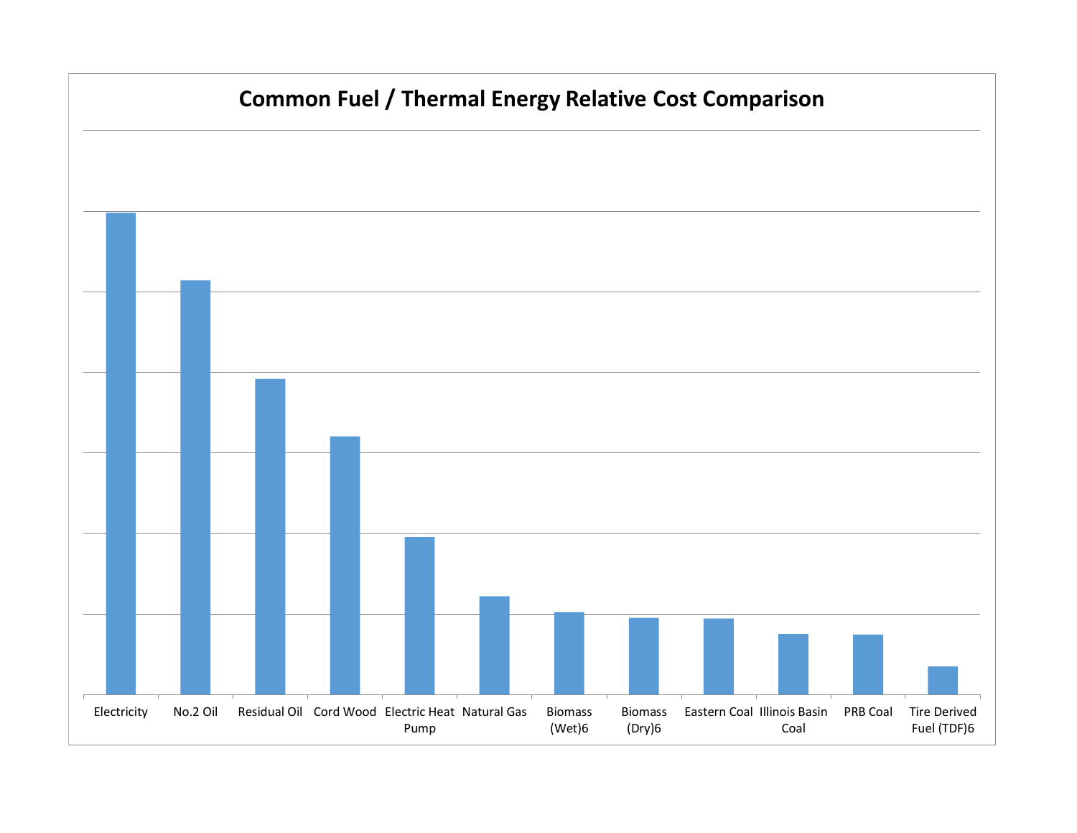